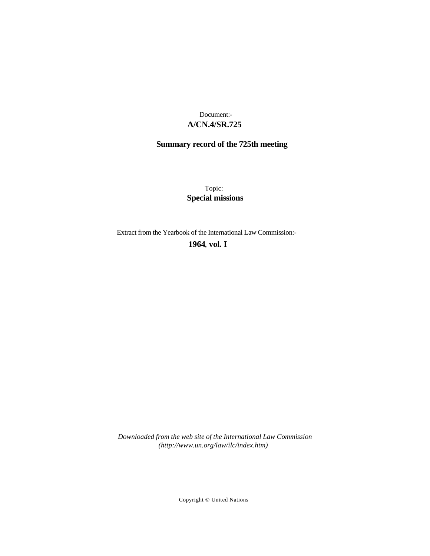## **A/CN.4/SR.725** Document:-

# **Summary record of the 725th meeting**

Topic: **Special missions**

Extract from the Yearbook of the International Law Commission:-

**1964** , **vol. I**

*Downloaded from the web site of the International Law Commission (http://www.un.org/law/ilc/index.htm)*

Copyright © United Nations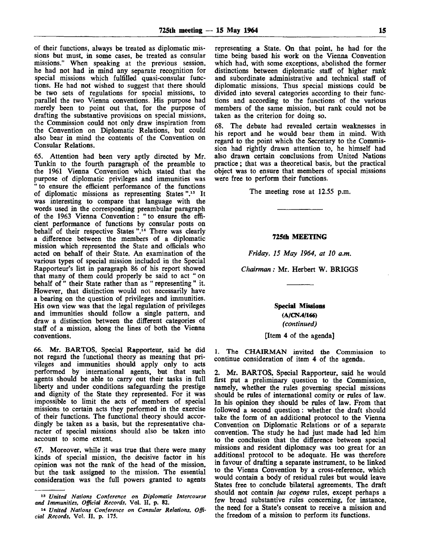of their functions, always be treated as diplomatic missions but must, in some cases, be treated as consular missions." When speaking at the previous session, he had not had in mind any separate recognition for special missions which fulfilled quasi-consular functions. He had not wished to suggest that there should be two sets of regulations for special missions, to parallel the two Vienna conventions. His purpose had merely been to point out that, for the purpose of drafting the substantive provisions on special missions, the Commission could not only draw inspiration from the Convention on Diplomatic Relations, but could also bear in mind the contents of the Convention on Consular Relations.

65. Attention had been very aptly directed by Mr. Tunkin to the fourth paragraph of the preamble to the 1961 Vienna Convention which stated that the purpose of diplomatic privileges and immunities was " to ensure the efficient performance of the functions of diplomatic missions as representing States ".<sup>13</sup> It was interesting to compare that language with the words used in the corresponding preambular paragraph of the 1963 Vienna Convention: " to ensure the efficient performance of functions by consular posts on behalf of their respective States  $\cdot$ .<sup>14</sup> There was clearly a difference between the members of a diplomatic mission which represented the State and officials who acted on behalf of their State. An examination of the various types of special mission included in the Special Rapporteur's list in paragraph 86 of his report showed that many of them could properly be said to act " on behalf of " their State rather than as " representing " it. However, that distinction would not necessarily have a bearing on the question of privileges and immunities. His own view was that the legal regulation of privileges and immunities should follow a single pattern, and draw a distinction between the different categories of staff of a mission, along the lines of both the Vienna conventions.

66. Mr. BARTOS, Special Rapporteur, said he did not regard the functional theory as meaning that privileges and immunities should apply only to acts performed by international agents, but that such agents should be able to carry out their tasks in full liberty and under conditions safeguarding the prestige and dignity of the State they represented. For it was impossible to limit the acts of members of special missions to certain acts they performed in the exercise of their functions. The functional theory should accordingly be taken as a basis, but the representative character of special missions should also be taken into account to some extent.

67. Moreover, while it was true that there were many kinds of special mission, the decisive factor in his opinion was not the rank of the head of the mission, but the task assigned to the mission. The essential consideration was the full powers granted to agents

representing a State. On that point, he had for the time being based his work on the Vienna Convention which had, with some exceptions, abolished the former distinctions between diplomatic staff of higher rank and subordinate administrative and technical staff of diplomatic missions. Thus special missions could be divided into several categories according to their functions and according to the functions of the various members of the same mission, but rank could not be taken as the criterion for doing so.

68. The debate had revealed certain weaknesses in his report and he would bear them in mind. With regard to the point which the Secretary to the Commission had rightly drawn attention to, he himself had also drawn certain conclusions from United Nations practice; that was a theoretical basis, but the practical object was to ensure that members of special missions were free to perform their functions.

The meeting rose at 12.55 p.m.

#### **725th MEETING**

*Friday, 15 May 1964, at 10 a.m.*

*Chairman:* Mr. Herbert W. BRIGGS

**Special Missions (A/CN.4/166)** *(continued)*

[Item 4 of the agenda]

1. The CHAIRMAN invited the Commission to continue consideration of item 4 of the agenda.

2. Mr. BARTOS, Special Rapporteur, said he would first put a preliminary question to the Commission, namely, whether the rules governing special missions should be rules of international comity or rules of law. In his opinion they should be rules of law. From that followed a second question: whether the draft should take the form of an additional protocol to the Vienna Convention on Diplomatic Relations or of a separate convention. The study he had just made had led him to the conclusion that the difference between special missions and resident diplomacy was too great for an additional protocol to be adequate. He was therefore in favour of drafting a separate instrument, to be linked to the Vienna Convention by a cross-reference, which would contain a body of residual rules but would leave States free to conclude bilateral agreements. The draft should not contain *jus cogens* rules, except perhaps a few broad substantive rules concerning, for instance, the need for a State's consent to receive a mission and the freedom of a mission to perform its functions.

<sup>13</sup>  *United Nations Conference on Diplomatic Intercourse and Immunities, Official Records,* Vol. H, p. 82.

<sup>14</sup>  *United Nations Conference on Consular Relations, Official Records,* Vol. II, p. 175.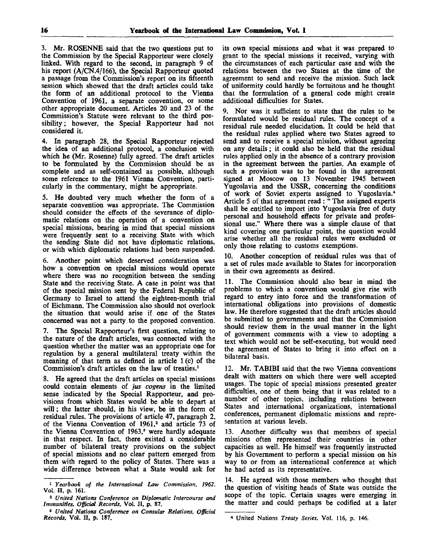3. Mr. ROSENNE said that the two questions put to the Commission by the Special Rapporteur were closely linked. With regard to the second, in paragraph 9 of his report (A/CN.4/166), the Special Rapporteur quoted a passage from the Commission's report on its fifteenth session which showed that the draft articles could take the form of an additional protocol to the Vienna Convention of 1961, a separate convention, or some other appropriate document. Articles 20 and 23 of the Commission's Statute were relevant to the third possibility; however, the Special Rapporteur had not considered it.

4. In paragraph 28, the Special Rapporteur rejected the idea of an additional protocol, a conclusion with which he (Mr. Rosenne) fully agreed. The draft articles to be formulated by the Commission should be as complete and as self-contained as possible, although some reference to the 1961 Vienna Convention, particularly in the commentary, might be appropriate.

5. He doubted very much whether the form of a separate convention was appropriate. The Commission should consider the effects of the severance of diplomatic relations on the operation of a convention on special missions, bearing in mind that special missions were frequently sent to a receiving State with which the sending State did not have diplomatic relations, or with which diplomatic relations had been suspended.

6. Another point which deserved consideration was how a convention on special missions would operate where there was no recognition between the sending State and the receiving State. A case in point was that of the special mission sent by the Federal Republic of Germany to Israel to attend the eighteen-month trial of Eichmann. The Commission also should not overlook the situation that would arise if one of the States concerned was not a party to the proposed convention.

7. The Special Rapporteur's first question, relating to the nature of the draft articles, was connected with the question whether the matter was an appropriate one for regulation by a general multilateral treaty within the meaning of that term as defined in article 1 (c) of the Commission's draft articles on the law of treaties.<sup>1</sup>

8. He agreed that the draft articles on special missions could contain elements of *jus cogens* in the limited sense indicated by the Special Rapporteur, and provisions from which States would be able to depart at will; the latter should, in his view, be in the form of residual rules. The provisions of article 47, paragraph 2, of the Vienna Convention of 1961,<sup>2</sup> and article 73 of the Vienna Convention of 1963,<sup>3</sup> were hardly adequate in that respect. In fact, there existed a considerable number of bilateral treaty provisions on the subject of special missions and no clear pattern emerged from them with regard to the policy of States. There was a wide difference between what a State would ask for

its own special missions and what it was prepared to grant to the special missions it received, varying with the circumstances of each particular case and with the relations between the two States at the time of the agreement to send and receive the mission. Such lack of uniformity could hardly be fortuitous and he thought that the formulation of a general code might create additional difficulties for States.

9. Nor was it sufficient to state that the rules to be formulated would be residual rules. The concept of a residual rule needed elucidation. It could be held that the residual rules applied where two States agreed to send and to receive a special mission, without agreeing on any details; it could also be held that the residual rules applied only in the absence of a contrary provision in the agreement between the parties. An example of such a provision was to be found in the agreement signed at Moscow on 13 November 1945 between Yugoslavia and the USSR, concerning the conditions of work of Soviet experts assigned to Yugoslavia.<sup>4</sup> Article 5 of that agreement read : " The assigned experts shall be entitled to import into Yugoslavia free of duty personal and household effects for private and professional use." Where there was a simple clause of that kind covering one particular point, the question would arise whether all the residual rules were excluded or only those relating to customs exemptions.

10. Another conception of residual rules was that of a set of rules made available to States for incorporation in their own agreements as desired.

11. The Commission should also bear in mind the problems to which a convention would give rise with regard to entry into force and the transformation of international obligations into provisions of domestic law. He therefore suggested that the draft articles should be submitted to governments and that the Commission should review them in the usual manner in the light of government comments with a view to adopting a text which would not be self-executing, but would need the agreement of States to bring it into effect on a bilateral basis.

12. Mr. TABIBI said that the two Vienna conventions dealt with matters on which there were well accepted usages. The topic of special missions presented greater difficulties, one of them being that it was related to a number of other topics, including relations between States and international organizations, international conferences, permanent diplomatic missions and representation at various levels.

13. Another difficulty was that members of special missions often represented their countries in other capacities as well. He himself was frequently instructed by his Government to perform a special mission on his way to or from an international conference at which he had acted as its representative.

14. He agreed with those members who thought that the question of visiting heads of State was outside the scope of the topic. Certain usages were emerging in the matter and could perhaps be codified at a later

<sup>1</sup>  *Yearbook of the International Law Commission, 1962,* Vol. II, p. **161.**

<sup>3</sup>  *United Nations Conference on Diplomatic Intercourse and Immunities, Official Records,* Vol. II, p. 87.

<sup>3</sup>  *United Nations Conference on Consular Relations, Official Records,* **Vol.** II, p. 187.

<sup>4</sup> United Nations *Treaty Series,* Vol. 116, p. 146.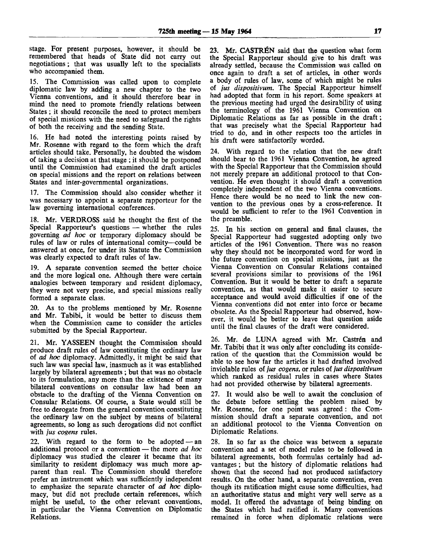stage. For present purposes, however, it should be remembered that heads of State did not carry out negotiations; that was usually left to the specialists who accompanied them.

15. The Commission was called upon to complete diplomatic law by adding a new chapter to the two Vienna conventions, and it should therefore bear in mind the need to promote friendly relations between States ; it should reconcile the need to protect members of special missions with the need to safeguard the rights of both the receiving and the sending State.

16. He had noted the interesting points raised by Mr. Rosenne with regard to the form which the draft articles should take. Personally, he doubted the wisdom of taking a decision at that stage ; it should be postponed until the Commission had examined the draft articles on special missions and the report on relations between States and inter-governmental organizations.

17. The Commission should also consider whether it was necessary to appoint a separate rapporteur for the law governing international conferences.

18. Mr. VERDROSS said he thought the first of the Special Rapporteur's questions — whether the rules governing *ad hoc* or temporary diplomacy should be rules of law or rules of international comity—could be answered at once, for under its Statute the Commission was clearly expected to draft rules of law.

19. A separate convention seemed the better choice and the more logical one. Although there were certain analogies between temporary and resident diplomacy, they were not very precise, and special missions really formed a separate class.

20. As to the problems mentioned by Mr. Rosenne and Mr. Tabibi, it would be better to discuss them when the Commission came to consider the articles submitted by the Special Rapporteur.

21. Mr. YASSEEN thought the Commission should produce draft rules of law constituting the ordinary law of *ad hoc* diplomacy. Admittedly, it might be said that such law was special law, inasmuch as it was established largely by bilateral agreements ; but that was no obstacle to its formulation, any more than the existence of many bilateral conventions on consular law had been an obstacle to the drafting of the Vienna Convention on Consular Relations. Of course, a State would still be free to derogate from the general convention constituting the ordinary law on the subject by means of bilateral agreements, so long as such derogations did not conflict with *jus cogens* rules.

22. With regard to the form to be adopted — an additional protocol or a convention — the more *ad hoc* diplomacy was studied the clearer it became that its similarity to resident diplomacy was much more apparent than real. The Commission should therefore prefer an instrument which was sufficiently independent to emphasize the separate character of *ad hoc* diplomacy, but did not preclude certain references, which might be useful, to the other relevant conventions, in particular the Vienna Convention on Diplomatic Relations.

23. Mr. CASTRÉN said that the question what form the Special Rapporteur should give to his draft was already settled, because the Commission was called on once again to draft a set of articles, in other words a body of rules of law, some of which might be rules of *jus dispositivum.* The Special Rapporteur himself had adopted that form in his report. Some speakers at the previous meeting had urged the desirability of using the terminology of the 1961 Vienna Convention on Diplomatic Relations as far as possible in the draft; that was precisely what the Special Rapporteur had tried to do, and in other respects too the articles in his draft were satisfactorily worded.

24. With regard to the relation that the new draft should bear to the 1961 Vienna Convention, he agreed with the Special Rapporteur that the Commission should not merely prepare an additional protocol to that Convention. He even thought it should draft a convention completely independent of the two Vienna conventions. Hence there would be no need to link the new convention to the previous ones by a cross-reference. It would be sufficient to refer to the 1961 Convention in the preamble.

25. In his section on general and final clauses, the Special Rapporteur had suggested adopting only two articles of the 1961 Convention. There was no reason why they should not be incorporated word for word in the future convention on special missions, just as the Vienna Convention on Consular Relations contained several provisions similar to provisions of the 1961 Convention. But it would be better to draft a separate convention, as that would make it easier to secure acceptance and would avoid difficulties if one of the Vienna conventions did not enter into force or became obsolete. As the Special Rapporteur had observed, however, it would be better to leave that question aside until the final clauses of the draft were considered.

26. Mr. de LUNA agreed with Mr. Castrén and Mr. Tabibi that it was only after concluding its consideration of the question that the Commission would be able to see how far the articles it had drafted involved inviolable rules of *jus cogens,* or rules of *jus dispositivum* which ranked as residual rules in cases where States had not provided otherwise by bilateral agreements.

27. It would also be well to await the conclusion of the debate before settling the problem raised by Mr. Rosenne, for one point was agreed: the Commission should draft a separate convention, and not an additional protocol to the Vienna Convention on Diplomatic Relations.

28. In so far as the choice was between a separate convention and a set of model rules to be followed in bilateral agreements, both formulas certainly had advantages ; but the history of diplomatic relations had shown that the second had not produced satisfactory results. On the other hand, a separate convention, even though its ratification might cause some difficulties, had an authoritative status and might very well serve as a model. It offered the advantage of being binding on the States which had ratified it. Many conventions remained in force when diplomatic relations were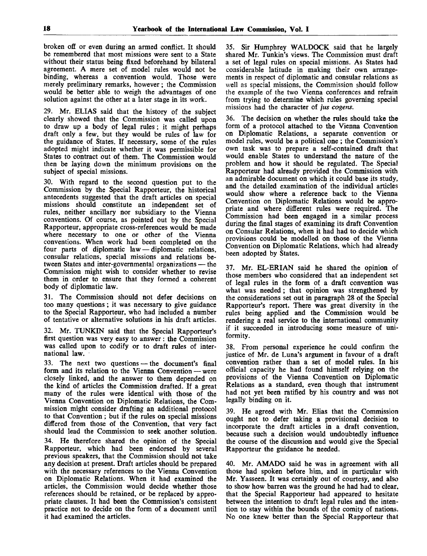broken off or even during an armed conflict. It should be remembered that most missions were sent to a State without their status being fixed beforehand by bilateral agreement. A mere set of model rules would not be binding, whereas a convention would. Those were merely preliminary remarks, however ; the Commission would be better able to weigh the advantages of one solution against the other at a later stage in its work.

29. Mr. ELIAS said that the history of the subject clearly showed that the Commission was called upon to draw up a body of legal rules ; it might perhaps draft only a few, but they would be rules of law for the guidance of States. If necessary, some of the rules adopted might indicate whether it was permissible for States to contract out of them. The Commission would then be laying down the minimum provisions on the subject of special missions.

30. With regard to the second question put to the Commission by the Special Rapporteur, the historical antecedents suggested that the draft articles on special missions should constitute an independent set of rules, neither ancillary nor subsidiary to the Vienna conventions. Of course, as pointed out by the Special Rapporteur, appropriate cross-references would be made where necessary to one or other of the Vienna conventions. When work had been completed on the four parts of diplomatic law — diplomatic relations, consular relations, special missions and relations between States and inter-governmental organizations — the Commission might wish to consider whether to revise them in order to ensure that they formed a coherent body of diplomatic law.

31. The Commission should not defer decisions on too many questions ; it was necessary to give guidance to the Special Rapporteur, who had included a number of tentative or alternative solutions in his draft articles.

32. Mr. TUNKIN said that the Special Rapporteur's first question was very easy to answer : the Commission was called upon to codify or to draft rules of international law.

33. The next two questions — the document's final form and its relation to the Vienna Convention — were closely linked, and the answer to them depended on the kind of articles the Commission drafted. If a great many of the rules were identical with those of the Vienna Convention on Diplomatic Relations, the Commission might consider drafting an additional protocol to that Convention ; but if the rules on special missions differed from those of the Convention, that very fact should lead the Commission to seek another solution.

34. He therefore shared the opinion of the Special Rapporteur, which had been endorsed by several previous speakers, that the Commission should not take any decision at present. Draft articles should be prepared with the necessary references to the Vienna Convention on Diplomatic Relations. When it had examined the articles, the Commission would decide whether those references should be retained, or be replaced by appropriate clauses. It had been the Commission's consistent practice not to decide on the form of a document until it had examined the articles.

35. Sir Humphrey WALDOCK said that he largely shared Mr. Tunkin's views. The Commission must draft a set of legal rules on special missions. As States had considerable latitude in making their own arrangements in respect of diplomatic and consular relations as well as special missions, the Commission should follow the example of the two Vienna conferences and refrain from trying to determine which rules governing special missions had the character of *jus cogens.*

36. The decision on whether the rules should take the form of a protocol attached to the Vienna Convention on Diplomatic Relations, a separate convention or model rules, would be a political one ; the Commission's own task was to prepare a self-contained draft that would enable States to understand the nature of the problem and how it should be regulated. The Special Rapporteur had already provided the Commission with an admirable document on which it could base its study, and the detailed examination of the individual articles would show where a reference back to the Vienna Convention on Diplomatic Relations would be appropriate and where different rules were required. The Commission had been engaged in a similar process during the final stages of examining its draft Convention on Consular Relations, when it had had to decide which provisions could be modelled on those of the Vienna Convention on Diplomatic Relations, which had already been adopted by States.

37. Mr. EL-ERIAN said he shared the opinion of those members who considered that an independent set of legal rules in the form of a draft convention was what was needed; that opinion was strengthened by the considerations set out in paragraph 28 of the Special Rapporteur's report. There was great diversity in the rules being applied and the Commission would be rendering a real service to the international community if it succeeded in introducing some measure of uniformity.

38. From personal experience he could confirm the justice of Mr. de Luna's argument in favour of a draft convention rather than a set of model rules. In his official capacity he had found himself relying on the provisions of the Vienna Convention on Diplomatic Relations as a standard, even though that instrument had not yet been ratified by his country and was not legally binding on it.

39. He agreed with Mr. Elias that the Commission ought not to defer taking a provisional decision to incorporate the draft articles in a draft convention, because such a decision would undoubtedly influence the course of the discussion and would give the Special Rapporteur the guidance he needed.

40. Mr. AMADO said he was in agreement with all those had spoken before him, and in particular with Mr. Yasseen. It was certainly out of courtesy, and also to show how barren was the ground he had had to clear, that the Special Rapporteur had appeared to hesitate between the intention to draft legal rules and the intention to stay within the bounds of the comity of nations. No one knew better than the Special Rapporteur that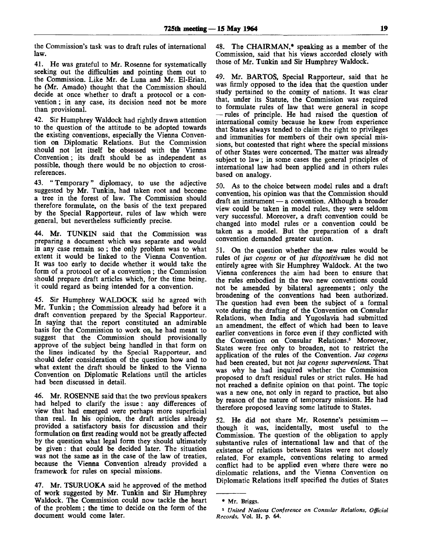the Commission's task was to draft rules of international law.

41. He was grateful to Mr. Rosenne for systematically seeking out the difficulties and pointing them out to the Commission. Like Mr. de Luna and Mr. El-Erian, he (Mr. Amado) thought that the Commission should decide at once whether to draft a protocol or a convention ; in any case, its decision need not be more than provisional.

42. Sir Humphrey Waldock had rightly drawn attention to the question of the attitude to be adopted towards the existing conventions, especially the Vienna Convention on Diplomatic Relations. But the Commission should not let itself be obsessed with the Vienna Convention; its draft should be as independent as possible, though there would be no objection to crossreferences.

43. " Temporary" diplomacy, to use the adjective suggested by Mr. Tunkin, had taken root and become a tree in the forest of law. The Commission should therefore formulate, on the basis of the text prepared by the Special Rapporteur, rules of law which were general, but nevertheless sufficiently precise.

44. Mr. TUNKIN said that the Commission was preparing a document which was separate and would in any case remain so; the only problem was to what extent it would be linked to the Vienna Convention. It was too early to decide whether it would take the form of a protocol or of a convention ; the Commission should prepare draft articles which, for the time being, it could regard as being intended for a convention.

45. Sir Humphrey WALDOCK said he agreed with Mr. Tunkin; the Commission already had before it a draft convention prepared by the Special Rapporteur. In saying that the report constituted an admirable basis for the Commission to work on, he had meant to suggest that the Commission should provisionally approve of the subject being handled in that form on the lines indicated by the Special Rapporteur, and should defer consideration of the question how and to what extent the draft should be linked to the Vienna Convention on Diplomatic Relations until the articles had been discussed in detail.

46. Mr. ROSENNE said that the two previous speakers had helped to clarify the issue: any differences of view that had emerged were perhaps more superficial than real. In his opinion, the draft articles already provided a satisfactory basis for discussion and their formulation on first reading would not be greatly affected by the question what legal form they should ultimately be given: that could be decided later. The situation was not the same as in the case of the law of treaties, because the Vienna Convention already provided a framework for rules on special missions.

47. Mr. TSURUOKA said he approved of the method of work suggested by Mr. Tunkin and Sir Humphrey Waldock. The Commission could now tackle the heart of the problem; the time to decide on the form of the document would come later.

48. The CHAIRMAN,\* speaking as a member of the Commission, said that his views accorded closely with those of Mr. Tunkin and Sir Humphrey Waldock.

49. Mr. BARTOS, Special Rapporteur, said that he was firmly opposed to the idea that the question under study pertained to the comity of nations. It was clear that, under its Statute, the Commission was required to formulate rules of law that were general in scope — rules of principle. He had raised the question of international comity because he knew from experience that States always tended to claim the right to privileges and immunities for members of their own special missions, but contested that right where the special missions of other States were concerned. The matter was already subject to law; in some cases the general principles of international law had been applied and in others rules based on analogy.

50. As to the choice between model rules and a draft convention, his opinion was that the Commission should draft an instrument — a convention. Although a broader view could be taken in model rules, they were seldom very successful. Moreover, a draft convention could be changed into model rules or a convention could be taken as a model. But the preparation of a draft convention demanded greater caution.

51. On the question whether the new rules would be rules of *jus cogens* or of *jus dispositivum* he did not entirely agree with Sir Humphrey Waldock. At the two Vienna conferences the aim had been to ensure that the rules embodied in the two new conventions could not be amended by bilateral agreements; only the broadening of the conventions had been authorized. The question had even been the subject of a formal vote during the drafting of the Convention on Consular Relations, when India and Yugoslavia had submitted an amendment, the effect of which had been to leave earlier conventions in force even if they conflicted with the Convention on Consular Relations.<sup>5</sup> Moreover, States were free only to broaden, not to restrict the application of the rules of the Convention. *Jus cogens* had been created, but not *jus cogens superveniens.* That was why he had inquired whether the Commission proposed to draft residual rules or strict rules. He had not reached a definite opinion on that point. The topic was a new one, not only in regard to practice, but also by reason of the nature of temporary missions. He had therefore proposed leaving some latitude to States.

52. He did not share Mr. Rosenne's pessimism though it was, incidentally, most useful to the Commission. The question of the obligation to apply substantive rules of international law and that of the existence of relations between States were not closely related. For example, conventions relating to armed conflict had to be applied even where there were no diolomatic relations, and the Vienna Convention on Diplomatic Relations itself specified the duties of States

<sup>\*</sup> Mr. Briggs.

<sup>3</sup>  *United Nations Conference on Consular Relations, Official Records,* Vol. II, p. 64.